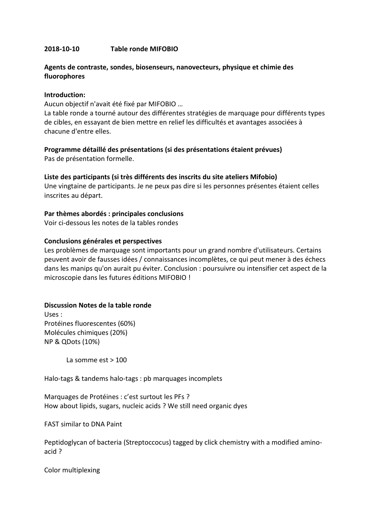## **2018-10-10 Table ronde MIFOBIO**

# **Agents de contraste, sondes, biosenseurs, nanovecteurs, physique et chimie des fluorophores**

#### **Introduction:**

Aucun objectif n'avait été fixé par MIFOBIO …

La table ronde a tourné autour des différentes stratégies de marquage pour différents types de cibles, en essayant de bien mettre en relief les difficultés et avantages associées à chacune d'entre elles.

## **Programme détaillé des présentations (si des présentations étaient prévues)**

Pas de présentation formelle.

### **Liste des participants (si très différents des inscrits du site ateliers Mifobio)**

Une vingtaine de participants. Je ne peux pas dire si les personnes présentes étaient celles inscrites au départ.

### **Par thèmes abordés : principales conclusions**

Voir ci-dessous les notes de la tables rondes

### **Conclusions générales et perspectives**

Les problèmes de marquage sont importants pour un grand nombre d'utilisateurs. Certains peuvent avoir de fausses idées / connaissances incomplètes, ce qui peut mener à des échecs dans les manips qu'on aurait pu éviter. Conclusion : poursuivre ou intensifier cet aspect de la microscopie dans les futures éditions MIFOBIO !

## **Discussion Notes de la table ronde**

Uses : Protéines fluorescentes (60%) Molécules chimiques (20%) NP & QDots (10%)

La somme est > 100

Halo-tags & tandems halo-tags : pb marquages incomplets

Marquages de Protéines : c'est surtout les PFs ? How about lipids, sugars, nucleic acids ? We still need organic dyes

FAST similar to DNA Paint

Peptidoglycan of bacteria (Streptoccocus) tagged by click chemistry with a modified aminoacid ?

Color multiplexing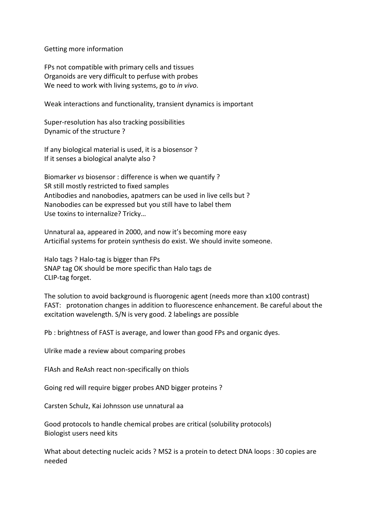Getting more information

FPs not compatible with primary cells and tissues Organoids are very difficult to perfuse with probes We need to work with living systems, go to *in vivo*.

Weak interactions and functionality, transient dynamics is important

Super-resolution has also tracking possibilities Dynamic of the structure ?

If any biological material is used, it is a biosensor ? If it senses a biological analyte also ?

Biomarker *vs* biosensor : difference is when we quantify ? SR still mostly restricted to fixed samples Antibodies and nanobodies, apatmers can be used in live cells but ? Nanobodies can be expressed but you still have to label them Use toxins to internalize? Tricky…

Unnatural aa, appeared in 2000, and now it's becoming more easy Articifial systems for protein synthesis do exist. We should invite someone.

Halo tags ? Halo-tag is bigger than FPs SNAP tag OK should be more specific than Halo tags de CLIP-tag forget.

The solution to avoid background is fluorogenic agent (needs more than x100 contrast) FAST: protonation changes in addition to fluorescence enhancement. Be careful about the excitation wavelength. S/N is very good. 2 labelings are possible

Pb : brightness of FAST is average, and lower than good FPs and organic dyes.

Ulrike made a review about comparing probes

FlAsh and ReAsh react non-specifically on thiols

Going red will require bigger probes AND bigger proteins ?

Carsten Schulz, Kai Johnsson use unnatural aa

Good protocols to handle chemical probes are critical (solubility protocols) Biologist users need kits

What about detecting nucleic acids ? MS2 is a protein to detect DNA loops : 30 copies are needed